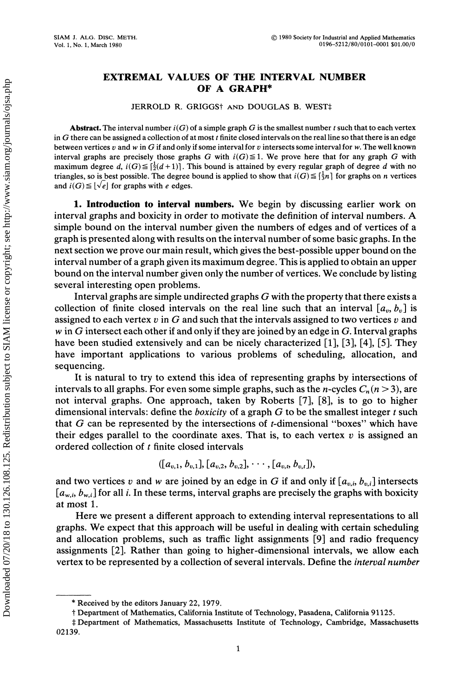## EXTREMAL VALUES OF THE INTERVAL NUMBER OF A GRAPH\*

JERROLD R. GRIGGS<sup>†</sup> AND DOUGLAS B. WEST<sup>‡</sup>

**Abstract.** The interval number  $i(G)$  of a simple graph G is the smallest number t such that to each vertex in G there can be assigned a collection of at most  $t$  finite closed intervals on the real line so that there is an edge between vertices v and w in G if and only if some interval for v intersects some interval for w. The well known interval graphs are precisely those graphs G with  $i(G) \leq 1$ . We prove here that for any graph G with maximum degree d,  $i(G) \leq \left[\frac{1}{2}(d+1)\right]$ . This bound is attained by every regular graph of degree d with no triangles, so is best possible. The degree bound is applied to show that  $i(G) \leq \lceil \frac{1}{2}n \rceil$  for graphs on n vertices and  $i(G) \leq \lfloor\sqrt{e}\rfloor$  for graphs with e edges.

1. Introduction to interval numbers. We begin by discussing earlier work on interval graphs and boxicity in order to motivate the definition of interval numbers. A simple bound on the interval number given the numbers of edges and of vertices of a graph is presented along with results on the interval number of some basic graphs. In the next section we prove our main result, which gives the best-possible upper bound on the interval number of a graph given its maximum degree. This is applied to obtain an upper bound on the interval number given only the number of vertices. We conclude by listing several interesting open problems.

Interval graphs are simple undirected graphs  $G$  with the property that there exists a collection of finite closed intervals on the real line such that an interval  $[a_n, b_n]$  is assigned to each vertex v in G and such that the intervals assigned to two vertices v and w in G intersect each other if and only if they are joined by an edge in G. Interval graphs have been studied extensively and can be nicely characterized [1], [3], [4], [5]. They have important applications to various problems of scheduling, allocation, and sequencing.

It is natural to try to extend this idea of representing graphs by intersections of intervals to all graphs. For even some simple graphs, such as the *n*-cycles  $C_n$  ( $n > 3$ ), are not interval graphs. One approach, taken by Roberts [7], [8], is to go to higher dimensional intervals: define the *boxicity* of a graph  $G$  to be the smallest integer  $t$  such that  $G$  can be represented by the intersections of *t*-dimensional "boxes" which have their edges parallel to the coordinate axes. That is, to each vertex  $v$  is assigned an ordered collection of  $t$  finite closed intervals

$$
([a_{v,1}, b_{v,1}], [a_{v,2}, b_{v,2}], \cdots, [a_{v,t}, b_{v,t}]),
$$

and two vertices v and w are joined by an edge in G if and only if  $[a_{v,i}, b_{v,i}]$  intersects  $[a_{w,i}, b_{w,i}]$  for all *i*. In these terms, interval graphs are precisely the graphs with boxicity at most 1.

Here we present a different approach to extending interval representations to all graphs. We expect that this approach will be useful in dealing with certain scheduling and allocation problems, such as traffic light assignments [9] and radio frequency assignments [2]. Rather than going to higher-dimensional intervals, we allow each vertex to be represented by a collection of several intervals. Define the interval number

<sup>\*</sup> Received by the editors January 22, 1979.

Department of Mathematics, California Institute of Technology, Pasadena, California 91125.

<sup>‡</sup> Department of Mathematics, Massachusetts Institute of Technology, Cambridge, Massachusetts 02139.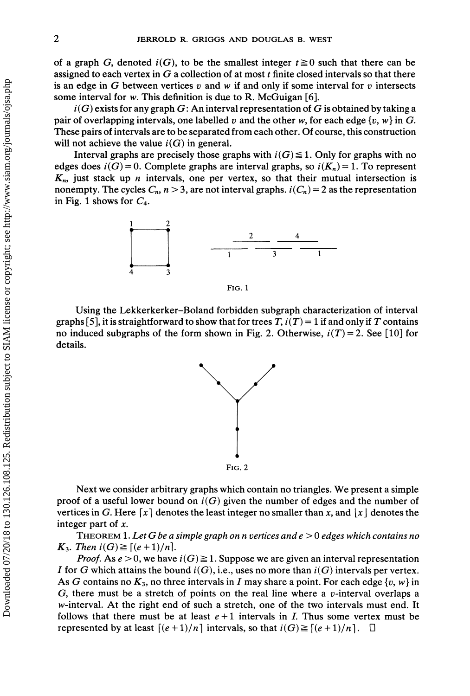of a graph G, denoted  $i(G)$ , to be the smallest integer  $t \ge 0$  such that there can be assigned to each vertex in  $G$  a collection of at most  $t$  finite closed intervals so that there is an edge in G between vertices v and w if and only if some interval for v intersects some interval for w. This definition is due to R. McGuigan  $[6]$ .

 $i(G)$  exists for any graph G: An interval representation of G is obtained by taking a pair of overlapping intervals, one labelled v and the other w, for each edge  $\{v, w\}$  in G. These pairs of intervals are to be separated from each other. Of course, this construction will not achieve the value  $i(G)$  in general.

Interval graphs are precisely those graphs with  $i(G) \leq 1$ . Only for graphs with no edges does  $i(G) = 0$ . Complete graphs are interval graphs, so  $i(K_n) = 1$ . To represent  $K_n$ , just stack up *n* intervals, one per vertex, so that their mutual intersection is nonempty. The cycles  $C_n$ ,  $n > 3$ , are not interval graphs.  $i(C_n) = 2$  as the representation in Fig. 1 shows for  $C_4$ .



FIG. 1

Using the Lekkerkerker-Boland forbidden subgraph characterization of interval graphs [5], it is straightforward to show that for trees T,  $i(T) = 1$  if and only if T contains no induced subgraphs of the form shown in Fig. 2. Otherwise,  $i(T) = 2$ . See [10] for details.



Next we consider arbitrary graphs which contain no triangles. We present <sup>a</sup> simple proof of a useful lower bound on  $i(G)$  given the number of edges and the number of vertices in G. Here [x] denotes the least integer no smaller than x, and  $|x|$  denotes the integer part of x.

THEOREM 1. Let G be a simple graph on n vertices and  $e > 0$  edges which contains no  $K_3$ . Then  $i(G) \geq [(e+1)/n]$ .

*Proof.* As  $e > 0$ , we have  $i(G) \ge 1$ . Suppose we are given an interval representation I for G which attains the bound  $i(G)$ , i.e., uses no more than  $i(G)$  intervals per vertex. As G contains no  $K_3$ , no three intervals in I may share a point. For each edge {v, w} in G, there must be a stretch of points on the real line where a  $v$ -interval overlaps a w-interval. At the right end of such a stretch, one of the two intervals must end. It follows that there must be at least  $e + 1$  intervals in *I*. Thus some vertex must be represented by at least  $[(e+1)/n]$  intervals, so that  $i(G) \geq [(e+1)/n]$ .  $\Box$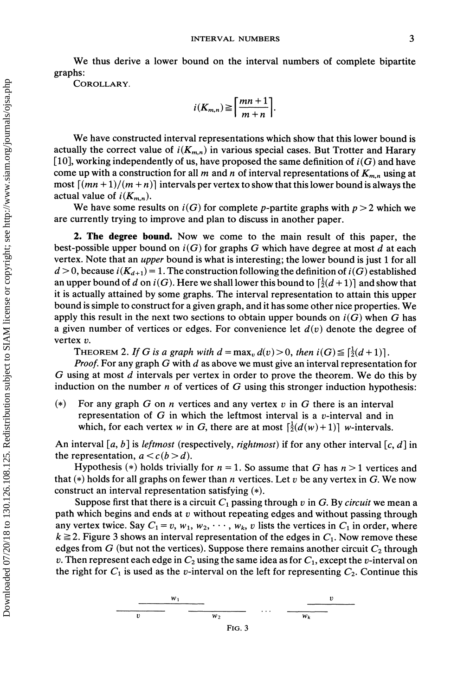We thus derive <sup>a</sup> lower bound on the interval numbers of complete bipartite graphs:

COROLLARY.

$$
i(K_{m,n}) \geq \left\lceil \frac{mn+1}{m+n} \right\rceil.
$$

We have constructed interval representations which show that this lower bound is actually the correct value of  $i(K_{m,n})$  in various special cases. But Trotter and Harary [10], working independently of us, have proposed the same definition of  $i(G)$  and have come up with a construction for all m and n of interval representations of  $K_{m,n}$  using at most  $[(mn+1)/(m+n)]$  intervals per vertex to show that this lower bound is always the actual value of  $i(K_{m,n})$ .

We have some results on  $i(G)$  for complete p-partite graphs with  $p > 2$  which we are currently trying to improve and plan to discuss in another paper.

2. The degree bound. Now we come to the main result of this paper, the best-possible upper bound on  $i(G)$  for graphs G which have degree at most d at each vertex. Note that an upper bound is what is interesting; the lower bound is just <sup>1</sup> for all  $d > 0$ , because  $i(K_{d+1}) = 1$ . The construction following the definition of  $i(G)$  established an upper bound of d on  $i(G)$ . Here we shall lower this bound to  $\lceil \frac{i}{2}(d+1) \rceil$  and show that it is actually attained by some graphs. The interval representation to attain this upper bound is simple to construct for <sup>a</sup> given graph, and it has some other nice properties. We apply this result in the next two sections to obtain upper bounds on  $i(G)$  when G has a given number of vertices or edges. For convenience let  $d(v)$  denote the degree of vertex v.

THEOREM 2. If G is a graph with  $d = \max_{v} d(v) > 0$ , then  $i(G) \leq \lceil \frac{1}{2}(d+1) \rceil$ .

*Proof.* For any graph G with d as above we must give an interval representation for G using at most <sup>d</sup> intervals per vertex in order to prove the theorem. We do this by induction on the number *n* of vertices of G using this stronger induction hypothesis:

(\*) For any graph G on n vertices and any vertex v in G there is an interval representation of  $G$  in which the leftmost interval is a v-interval and in which, for each vertex w in G, there are at most  $\left[\frac{1}{2}(d(w) + 1)\right]$  w-intervals.

An interval [a, b] is *leftmost* (respectively, *rightmost*) if for any other interval [c, d] in the representation,  $a < c(b > d)$ .

Hypothesis (\*) holds trivially for  $n = 1$ . So assume that G has  $n > 1$  vertices and that (\*) holds for all graphs on fewer than n vertices. Let  $v$  be any vertex in G. We now construct an interval representation satisfying  $(*)$ .

Suppose first that there is a circuit  $C_1$  passing through v in G. By circuit we mean a path which begins and ends at  $v$  without repeating edges and without passing through any vertex twice. Say  $C_1 = v$ ,  $w_1$ ,  $w_2$ ,  $\dots$ ,  $w_k$ , v lists the vertices in  $C_1$  in order, where  $k \ge 2$ . Figure 3 shows an interval representation of the edges in  $C_1$ . Now remove these edges from G (but not the vertices). Suppose there remains another circuit  $C_2$  through v. Then represent each edge in  $C_2$  using the same idea as for  $C_1$ , except the v-interval on the right for  $C_1$  is used as the v-interval on the left for representing  $C_2$ . Continue this

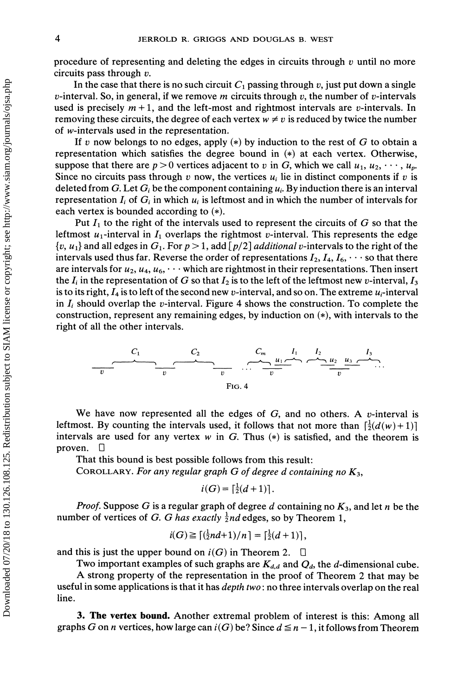procedure of representing and deleting the edges in circuits through  $v$  until no more circuits pass through  $v$ .

In the case that there is no such circuit  $C_1$  passing through v, just put down a single v-interval. So, in general, if we remove m circuits through v, the number of v-intervals used is precisely  $m + 1$ , and the left-most and rightmost intervals are v-intervals. In removing these circuits, the degree of each vertex  $w \neq v$  is reduced by twice the number of w-intervals used in the representation.

If v now belongs to no edges, apply (\*) by induction to the rest of G to obtain a representation which satisfies the degree bound in  $(*)$  at each vertex. Otherwise, suppose that there are  $p > 0$  vertices adjacent to v in G, which we call  $u_1, u_2, \dots, u_p$ . Since no circuits pass through v now, the vertices  $u_i$  lie in distinct components if v is deleted from G. Let  $G_i$  be the component containing  $u_i$ . By induction there is an interval representation  $I_i$  of  $G_i$  in which  $u_i$  is leftmost and in which the number of intervals for each vertex is bounded according to  $(*)$ .

Put  $I_1$  to the right of the intervals used to represent the circuits of G so that the leftmost  $u_1$ -interval in  $I_1$  overlaps the rightmost v-interval. This represents the edge  $\{v, u_1\}$  and all edges in  $G_1$ . For  $p > 1$ , add  $[p/2]$  *additional v*-intervals to the right of the intervals used thus far. Reverse the order of representations  $I_2$ ,  $I_4$ ,  $I_6$ ,  $\cdots$  so that there are intervals for  $u_2, u_4, u_6, \cdots$  which are rightmost in their representations. Then insert the  $I_i$  in the representation of G so that  $I_2$  is to the left of the leftmost new v-interval,  $I_3$ is to its right,  $I_4$  is to left of the second new v-interval, and so on. The extreme  $u_i$ -interval in  $I_i$  should overlap the v-interval. Figure 4 shows the construction. To complete the construction, represent any remaining edges, by induction on  $(*)$ , with intervals to the right of all the other intervals.



We have now represented all the edges of  $G$ , and no others. A v-interval is leftmost. By counting the intervals used, it follows that not more than  $\left[\frac{1}{2}(d(w)+1)\right]$ intervals are used for any vertex w in G. Thus  $(*)$  is satisfied, and the theorem is proven.  $\Box$ 

That this bound is best possible follows from this result:

COROLLARY. For any regular graph G of degree d containing no  $K_3$ ,

$$
i(G) = \lceil \frac{1}{2}(d+1) \rceil.
$$

*Proof.* Suppose G is a regular graph of degree d containing no  $K_3$ , and let n be the number of vertices of G. G has exactly  $\frac{1}{2}$ nd edges, so by Theorem 1,

$$
i(G) \geq \lceil \left(\frac{1}{2}nd + 1\right)/n \rceil = \lceil \frac{1}{2}(d+1) \rceil,
$$

and this is just the upper bound on  $i(G)$  in Theorem 2.  $\Box$ 

Two important examples of such graphs are  $K_{d,d}$  and  $Q_d$ , the d-dimensional cube. A strong property of the representation in the proof of Theorem <sup>2</sup> that may be useful in some applications is that it has *depth two*: no three intervals overlap on the real line.

3. The vertex bound. Another extremal problem of interest is this: Among all graphs G on n vertices, how large can  $i(G)$  be? Since  $d \leq n-1$ , it follows from Theorem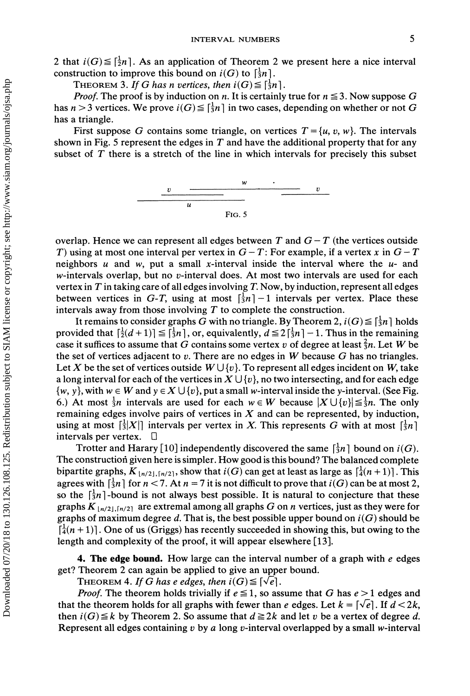2 that  $i(G) \leq \lceil \frac{1}{2}n \rceil$ . As an application of Theorem 2 we present here a nice interval construction to improve this bound on  $i(G)$  to  $\left[\frac{1}{3}n\right]$ .

THEOREM 3. If G has n vertices, then  $i(G) \leq \lceil \frac{1}{3}n \rceil$ .

*Proof.* The proof is by induction on n. It is certainly true for  $n \le 3$ . Now suppose G has  $n > 3$  vertices. We prove  $i(G) \leq \lceil \frac{1}{3}n \rceil$  in two cases, depending on whether or not G has a triangle.

First suppose G contains some triangle, on vertices  $T = \{u, v, w\}$ . The intervals shown in Fig. 5 represent the edges in  $T$  and have the additional property that for any subset of  $T$  there is a stretch of the line in which intervals for precisely this subset



overlap. Hence we can represent all edges between T and  $G-T$  (the vertices outside T) using at most one interval per vertex in  $G-T$ : For example, if a vertex x in  $G-T$ neighbors  $u$  and  $w$ , put a small x-interval inside the interval where the  $u$ - and  $w$ -intervals overlap, but no  $v$ -interval does. At most two intervals are used for each vertex in  $T$  in taking care of all edges involving  $T$ . Now, by induction, represent all edges between vertices in G-T, using at most  $\left[\frac{1}{2}n\right]-1$  intervals per vertex. Place these intervals away from those involving  $T$  to complete the construction.

It remains to consider graphs G with no triangle. By Theorem 2,  $i(G) \leq \lceil \frac{1}{3}n \rceil$  holds provided that  $\lceil \frac{1}{2}(d+1) \rceil \leq \lceil \frac{1}{3}n \rceil$ , or, equivalently,  $d \leq 2 \lceil \frac{1}{3}n \rceil - 1$ . Thus in the remaining case it suffices to assume that G contains some vertex v of degree at least  $\frac{2}{3}n$ . Let W be the set of vertices adjacent to v. There are no edges in W because  $G$  has no triangles. Let X be the set of vertices outside  $W \cup \{v\}$ . To represent all edges incident on W, take a long interval for each of the vertices in  $X \cup \{v\}$ , no two intersecting, and for each edge  $\{w, y\}$ , with  $w \in W$  and  $y \in X \cup \{v\}$ , put a small w-interval inside the y-interval. (See Fig. 6.) At most  $\frac{1}{3}n$  intervals are used for each  $w \in W$  because  $|X \cup \{v\}| \leq \frac{1}{3}n$ . The only remaining edges involve pairs of vertices in  $X$  and can be represented, by induction, using at most  $\lceil \frac{1}{3}X \rceil$  intervals per vertex in X. This represents G with at most  $\lceil \frac{1}{3}n \rceil$ intervals per vertex.  $\Box$ 

Trotter and Harary [10] independently discovered the same  $\lceil \frac{1}{3}n \rceil$  bound on  $i(G)$ . The constructiori given here is simpler. How good is this bound? The balanced complete bipartite graphs,  $K_{\lfloor n/2\rfloor,\lceil n/2\rceil}$ , show that  $i(G)$  can get at least as large as  $\lceil \frac{1}{4}(n+1)\rceil$ . This agrees with  $\left[\frac{1}{2}n\right]$  for  $n < 7$ . At  $n = 7$  it is not difficult to prove that  $i(G)$  can be at most 2, so the  $\left[\frac{1}{2}n\right]$ -bound is not always best possible. It is natural to conjecture that these graphs  $K_{\lfloor n/2 \rfloor,\lfloor n/2 \rfloor}$  are extremal among all graphs G on n vertices, just as they were for graphs of maximum degree d. That is, the best possible upper bound on  $i(G)$  should be  $\left[\frac{1}{4}(n+1)\right]$ . One of us (Griggs) has recently succeeded in showing this, but owing to the length and complexity of the proof, it will appear elsewhere [13].

4. The edge bound. How large can the interval number of a graph with  $e$  edges get? Theorem 2 can again be applied to give an upper bound.

THEOREM 4. If G has e edges, then  $i(G) \leq \lceil \sqrt{e} \rceil$ .

*Proof.* The theorem holds trivially if  $e \le 1$ , so assume that G has  $e > 1$  edges and that the theorem holds for all graphs with fewer than e edges. Let  $k = \lfloor \sqrt{e} \rfloor$ . If  $d < 2k$ , then  $i(G) \leq k$  by Theorem 2. So assume that  $d \geq 2k$  and let v be a vertex of degree d. Represent all edges containing  $v$  by  $a$  long  $v$ -interval overlapped by a small w-interval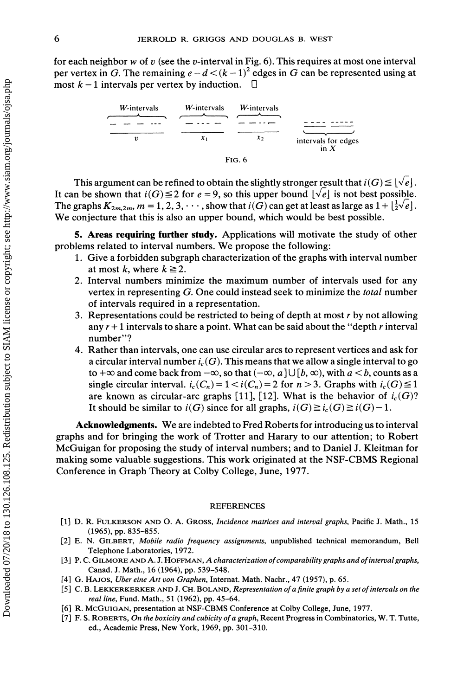for each neighbor w of v (see the v-interval in Fig. 6). This requires at most one interval per vertex in G. The remaining  $e-d < (k-1)^2$  edges in G can be represented using at most  $k-1$  intervals per vertex by induction.  $\Box$ 



This argument can be refined to obtain the slightly stronger result that  $i(G) \leq |\sqrt{e}|$ . It can be shown that  $i(G) \le 2$  for  $e = 9$ , so this upper bound  $|\sqrt{e}|$  is not best possible. The graphs  $K_{2m,2m}$ ,  $m = 1, 2, 3, \cdots$ , show that  $i(G)$  can get at least as large as  $1 + \lfloor \frac{1}{2} \sqrt{e} \rfloor$ . We conjecture that this is also an upper bound, which would be best possible.

5. Areas requiring turther study. Applications will motivate the study of other problems related to interval numbers. We propose the following:

- 1. Give a forbidden subgraph characterization of the graphs with interval number at most k, where  $k \ge 2$ .
- 2. Interval numbers minimize the maximum number of intervals used for any vertex in representing G. One could instead seek to minimize the total number of intervals required in a representation.
- 3. Representations could be restricted to being of depth at most  $r$  by not allowing any  $r + 1$  intervals to share a point. What can be said about the "depth r interval" number"?
- 4. Rather than intervals, one can use circular arcs to represent vertices and ask for a circular interval number  $i_c(G)$ . This means that we allow a single interval to go to  $+\infty$  and come back from  $-\infty$ , so that  $(-\infty, a] \cup [b, \infty)$ , with  $a < b$ , counts as a single circular interval,  $i_c(C_n) = 1 < i(C_n) = 2$  for  $n > 3$ . Graphs with  $i_c(G) \le 1$ are known as circular-arc graphs [11], [12]. What is the behavior of  $i_c(G)$ ? It should be similar to  $i(G)$  since for all graphs,  $i(G) \geq i_c(G) \geq i(G)-1$ .

Acknowledgments. We are indebted to Fred Roberts for introducing us to interval graphs and for bringing the work of Trotter and Harary to our attention; to Robert McGuigan for proposing the study of interval numbers; and to Daniel J. Kleitman for making some valuable suggestions. This work originated at the NSF-CBMS Regional Conference in Graph Theory at Colby College, June, 1977.

## **REFERENCES**

- [1] D. R. FULKERSON AND O. A. GROSS, Incidence matrices and interval graphs, Pacific J. Math., <sup>15</sup> (1965), pp. 835-855.
- [2] E. N. GILBERT, Mobile radio frequency assignments, unpublished technical memorandum, Bell Telephone Laboratories, 1972.
- [3] P. C. GILMORE AND A. J. HOFFMAN, A characterization of comparability graphs and of interval graphs, Canad. J. Math., 16 (1964), pp. 539-548.
- [4] G. HAJOS, Uber eine Art yon Graphen, Internat. Math. Nachr., 47 (1957), p. 65.
- [5] C. B. LEKKERKERKER AND J. CH. BOLAND, Representation of a finite graph by a set of intervals on the real line, Fund. Math., 51 (1962), pp. 45-64.
- [6] R. McGUIGAN, presentation at NSF-CBMS Conference at Colby College, June, 1977.
- [7] F. S. ROBERTS, On the boxicity and cubicity of a graph, Recent Progress in Combinatorics, W. T. Tutte, ed., Academic Press, New York, 1969, pp. 301-310.